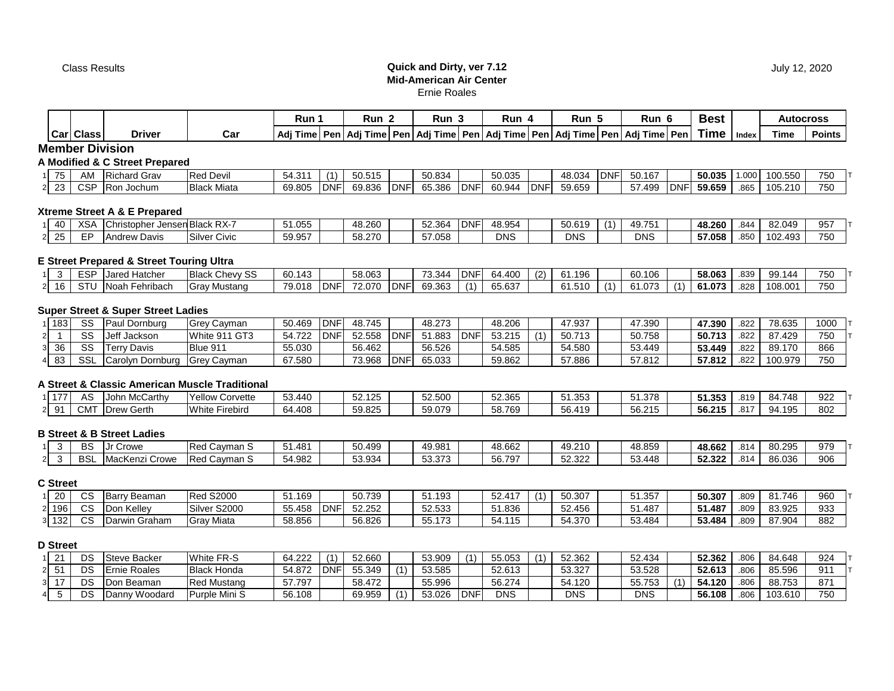#### Class Results **Quick and Dirty, ver 7.12 Mid-American Air Center** Ernie Roales

|       |                   |                                           |                      | Run 1   |            | Run 2  |            | Run 3         |             | Run 4      |            | Run 5  |            | Run 6                                                                                               |            | <b>Best</b> |                         | <b>Autocross</b> |               |
|-------|-------------------|-------------------------------------------|----------------------|---------|------------|--------|------------|---------------|-------------|------------|------------|--------|------------|-----------------------------------------------------------------------------------------------------|------------|-------------|-------------------------|------------------|---------------|
|       | <b>Carl Class</b> | <b>Driver</b>                             | Car                  |         |            |        |            |               |             |            |            |        |            | Adj Time   Pen   Adj Time   Pen   Adj Time   Pen   Adj Time   Pen   Adj Time   Pen   Adj Time   Pen |            | <b>Time</b> | Index                   | Time             | <b>Points</b> |
|       |                   | <b>Member Division</b>                    |                      |         |            |        |            |               |             |            |            |        |            |                                                                                                     |            |             |                         |                  |               |
|       |                   | <b>A Modified &amp; C Street Prepared</b> |                      |         |            |        |            |               |             |            |            |        |            |                                                                                                     |            |             |                         |                  |               |
| 75    | AM                | <b>Richard Grav</b>                       | <b>Red Devil</b>     | 54.311  |            | 50.515 |            | 50.834        |             | 50.035     |            | 48.034 | <b>DNF</b> | 50.167                                                                                              |            | 50.035      | 000.                    | 100.550          | 750           |
| 2 2 3 | <b>CSP</b>        | Ron Jochum                                | <b>Black Miata</b>   | 69.805  | <b>DNF</b> | 69.836 | <b>DNF</b> | 65.386        | <b>DNF</b>  | 60.944     | <b>DNF</b> | 59.659 |            | 57.499                                                                                              | <b>DNF</b> | 59.659      | .865                    | 105.210          | 750           |
|       |                   | Xtreme Street A & E Prepared              |                      |         |            |        |            |               |             |            |            |        |            |                                                                                                     |            |             |                         |                  |               |
| 40    | <b>XSA</b>        | Christopher Jensen Black RX-7             |                      | 51.055  |            | 48.260 |            | 52.364        | <b>DNF</b>  | 48.954     |            | 50.619 |            | 49.751                                                                                              |            | 48.260      | .844                    | 82.049           | 957           |
| -25   | EP                | <b>Andrew Davis</b>                       | <b>Silver Civic</b>  | 59.957  |            | 58.270 |            | 57.058        |             | <b>DNS</b> |            | DNS    |            | <b>DNS</b>                                                                                          |            | 57.058      | .850                    | 102.493          | 750           |
|       |                   | E Street Prepared & Street Touring Ultra  |                      |         |            |        |            |               |             |            |            |        |            |                                                                                                     |            |             |                         |                  |               |
|       |                   | 1 2 ECD Lored Hotcher                     | <b>Dlook Chouver</b> | 60, 112 |            | EO NEO |            | <b>72 244</b> | <b>IDNE</b> | 64.400     | (2)        | 64.106 |            | 60, 106                                                                                             |            | EO ACO      | $\circ$ $\circ$ $\circ$ | 00.111           | 750           |

# 1 3 | ESP |Jared Hatcher |Black Chevy SS | 60.143 | | 58.063 | | 73.344 |DNF| 64.400 | (2) | 61.196 | | 60.106 | | **58.063** | .839 | 99.144 | 750 |T 2 16 | STU |Noah Fehribach |Gray Mustang | 79.018 |DNF| 72.070 |DNF| 69.363 | (1) | 65.637 | | 61.510 | (1) | 61.073 | (1) | **61.073** | .828 | 108.001 | 750

## **Super Street & Super Street Ladies**

| 183 | SS         | l Dornbura<br>∍aul | lGrev<br>/ Cayman              | 50.469 | DNF | 48.745 |            | 48.273 |            | 48.206 |     | 47.937 | 47.390<br>41 | 47.390 | 822  | 78.635  | 1000 |
|-----|------------|--------------------|--------------------------------|--------|-----|--------|------------|--------|------------|--------|-----|--------|--------------|--------|------|---------|------|
|     | SS         | Jeff<br>Jackson    | White 911 GT3                  | 54.722 | DΝF | 52.558 | <b>DNF</b> | 51.883 | <b>DNF</b> | 53.215 | (4) | 50.713 | 50.758       | 50.713 | .822 | 87.429  | 750  |
| 36  | SS         | Terrv Davis        | Blue 911                       | 55.030 |     | 56.462 |            | 56.526 |            | 54.585 |     | 54.580 | 53.449       | 53.449 | .822 | 89.170  | 866  |
| 483 | <b>SSL</b> | `ิarol∨n Dornburɑ  | Cavman<br>∴ IGrev <sup>∽</sup> | 67.580 |     | 73.968 | <b>DNF</b> | 65.033 |            | 59.862 |     | 57.886 | 57.812       | 57.812 | 822  | 100.979 | 750  |

#### **A Street & Classic American Muscle Traditional**

| $-7-$          | A٤              | <b>McCarthy</b><br>⊣Johr                          | Yellow .<br>`∩rvette<br>ີ | 53.440 | $F^{\alpha}$ $A^{\alpha}F$<br><b>JL.IL</b> | 52.500 | 52.365 | $353$<br><u>JI.JJJ</u> | 51.378                  | 51.353 | .819        | 748<br>84. | 922 |
|----------------|-----------------|---------------------------------------------------|---------------------------|--------|--------------------------------------------|--------|--------|------------------------|-------------------------|--------|-------------|------------|-----|
| ົດ1<br>$\cdot$ | CM <sup>-</sup> | $\overline{\phantom{a}}$<br>Gerth<br><b>IDrew</b> | White<br>Firebird         | 64.408 | 59.825                                     | 59.079 | 58.769 | 440<br>56<br>ا ت 1 + י | $E$ $R$ $21F$<br>56.215 | 56.215 | 047<br>ι σ. | 195<br>94  | 802 |

# **B Street & B Street Ladies**

|  | DС<br>ەە            | Crowe                                   | Cavman S<br>ื้⊳∼<br>ne. | 1.481د | 50.499          | 19.981                                 | 48.662                  | 49<br>.9.210    | 48.859 | 48.662 | .814 | 80.295 | 979 |
|--|---------------------|-----------------------------------------|-------------------------|--------|-----------------|----------------------------------------|-------------------------|-----------------|--------|--------|------|--------|-----|
|  | <sub>DO</sub><br>ات | $\overline{ }$<br>.Kenz<br>2rowe<br>IMə | Cavman S<br>Rec         | 4.982  | 53.934<br>ບບ.ວບ | $F^{\alpha}$ $27^{\alpha}$<br>ວວ.ວ ເ ວ | <b>FO 70-</b><br>56.797 | 52322<br>32.322 | 53.448 | 52.322 | .814 | 86.036 | 906 |

# **C Street**

| $\sim$<br>∠∪ | $\sim$<br>vc | Beaman<br>. Jorr<br>Jali <sup>v</sup> | <b>Red S2000</b> | 51.169 |            | 50.739 | .193<br>ີ                 | $E^{\prime}$ $117$<br>ЭZ. | (4) | 50.307 | ა1.357   | 50.307 | .809 | 81.746 | 960 |
|--------------|--------------|---------------------------------------|------------------|--------|------------|--------|---------------------------|---------------------------|-----|--------|----------|--------|------|--------|-----|
| 2 196        | $\sim$<br>UC | ı Kellev<br>IDO                       | Silver<br>S2000  | 55.458 | <b>DNF</b> | 52.252 | 52.533                    | 51.836                    |     | 52.456 | 487<br>. | 51.487 | .809 | 83.925 | 933 |
| 132          | $\sim$<br>UC | ∃raham<br>"win Gra                    | Miata<br>lGra    | 58.856 |            | 56.826 | 170<br>$- -$<br>へへ<br>JJ. | 54.11 <sup>7</sup>        |     | 54.370 | 53.484   | 53.484 | .809 | 87.904 | 882 |

## **D Street**

|  | DS | Steve Backer                  | White FR-S         | 64.222 | $\overline{A}$ | 52.660 |                | 53.909 | $\overline{A}$ | 55.053     | 52.362 | 52.434 | 52.362 | .806 | 84.648  | 924 |
|--|----|-------------------------------|--------------------|--------|----------------|--------|----------------|--------|----------------|------------|--------|--------|--------|------|---------|-----|
|  | DS | Roales<br><b>IErnie</b>       | <b>Black Honda</b> | 54.872 | <b>DNF</b>     | 55.349 | $\overline{A}$ | 53.585 |                | 52.613     | 53.327 | 53.528 | 52.613 | 806  | 85.596  | 911 |
|  | DS | <sub>ີ</sub> າ Beaman<br>IDon | <b>Red Mustang</b> | 57.797 |                | 58.472 |                | 55.996 |                | 56.274     | 54.120 | 55.753 | 4.120د | 806  | 88.753  | 871 |
|  | DS | Woodard<br><b>Danny</b>       | Purple Mini S      | 56.108 |                | 69.959 | $\lambda$      | 53.026 | DNF            | <b>DNS</b> | DNS    | DNS    | 56.108 | 806  | 103.610 | 750 |

**Best Autocross**